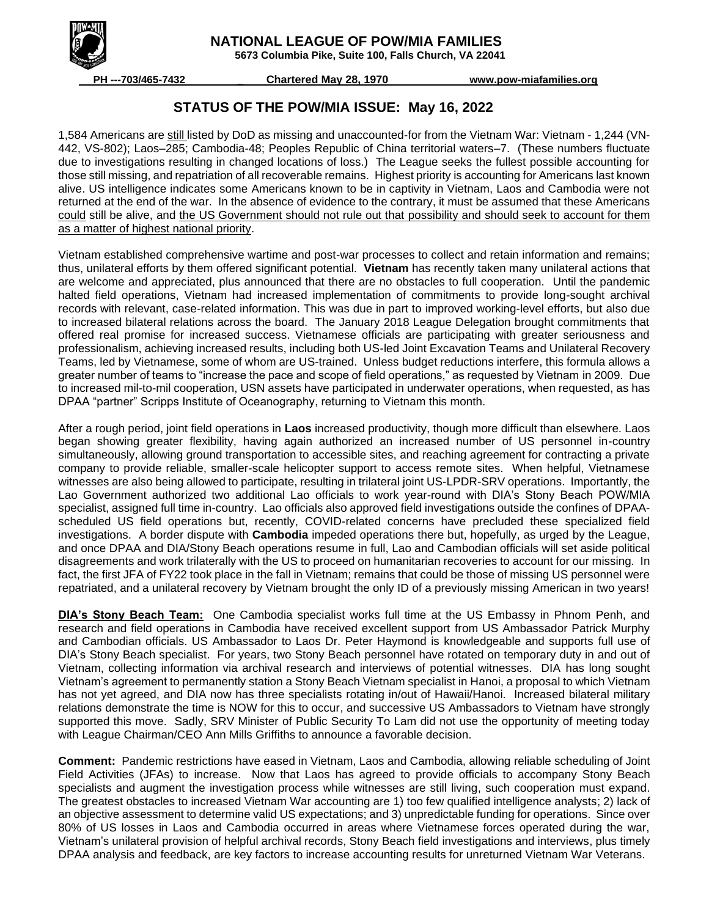

 **NATIONAL LEAGUE OF POW/MIA FAMILIES**

 **5673 Columbia Pike, Suite 100, Falls Church, VA 22041**

 **PH ---703/465-7432 \_ Chartered May 28, 1970 www.pow-miafamilies.org**

## **STATUS OF THE POW/MIA ISSUE: May 16, 2022**

1,584 Americans are still listed by DoD as missing and unaccounted-for from the Vietnam War: Vietnam - 1,244 (VN-442, VS-802); Laos–285; Cambodia-48; Peoples Republic of China territorial waters–7. (These numbers fluctuate due to investigations resulting in changed locations of loss.) The League seeks the fullest possible accounting for those still missing, and repatriation of all recoverable remains. Highest priority is accounting for Americans last known alive. US intelligence indicates some Americans known to be in captivity in Vietnam, Laos and Cambodia were not returned at the end of the war. In the absence of evidence to the contrary, it must be assumed that these Americans could still be alive, and the US Government should not rule out that possibility and should seek to account for them as a matter of highest national priority.

Vietnam established comprehensive wartime and post-war processes to collect and retain information and remains; thus, unilateral efforts by them offered significant potential. **Vietnam** has recently taken many unilateral actions that are welcome and appreciated, plus announced that there are no obstacles to full cooperation. Until the pandemic halted field operations, Vietnam had increased implementation of commitments to provide long-sought archival records with relevant, case-related information. This was due in part to improved working-level efforts, but also due to increased bilateral relations across the board. The January 2018 League Delegation brought commitments that offered real promise for increased success. Vietnamese officials are participating with greater seriousness and professionalism, achieving increased results, including both US-led Joint Excavation Teams and Unilateral Recovery Teams, led by Vietnamese, some of whom are US-trained. Unless budget reductions interfere, this formula allows a greater number of teams to "increase the pace and scope of field operations," as requested by Vietnam in 2009. Due to increased mil-to-mil cooperation, USN assets have participated in underwater operations, when requested, as has DPAA "partner" Scripps Institute of Oceanography, returning to Vietnam this month.

After a rough period, joint field operations in **Laos** increased productivity, though more difficult than elsewhere. Laos began showing greater flexibility, having again authorized an increased number of US personnel in-country simultaneously, allowing ground transportation to accessible sites, and reaching agreement for contracting a private company to provide reliable, smaller-scale helicopter support to access remote sites. When helpful, Vietnamese witnesses are also being allowed to participate, resulting in trilateral joint US-LPDR-SRV operations. Importantly, the Lao Government authorized two additional Lao officials to work year-round with DIA's Stony Beach POW/MIA specialist, assigned full time in-country. Lao officials also approved field investigations outside the confines of DPAAscheduled US field operations but, recently, COVID-related concerns have precluded these specialized field investigations. A border dispute with **Cambodia** impeded operations there but, hopefully, as urged by the League, and once DPAA and DIA/Stony Beach operations resume in full, Lao and Cambodian officials will set aside political disagreements and work trilaterally with the US to proceed on humanitarian recoveries to account for our missing. In fact, the first JFA of FY22 took place in the fall in Vietnam; remains that could be those of missing US personnel were repatriated, and a unilateral recovery by Vietnam brought the only ID of a previously missing American in two years!

**DIA's Stony Beach Team:** One Cambodia specialist works full time at the US Embassy in Phnom Penh, and research and field operations in Cambodia have received excellent support from US Ambassador Patrick Murphy and Cambodian officials. US Ambassador to Laos Dr. Peter Haymond is knowledgeable and supports full use of DIA's Stony Beach specialist. For years, two Stony Beach personnel have rotated on temporary duty in and out of Vietnam, collecting information via archival research and interviews of potential witnesses. DIA has long sought Vietnam's agreement to permanently station a Stony Beach Vietnam specialist in Hanoi, a proposal to which Vietnam has not yet agreed, and DIA now has three specialists rotating in/out of Hawaii/Hanoi. Increased bilateral military relations demonstrate the time is NOW for this to occur, and successive US Ambassadors to Vietnam have strongly supported this move. Sadly, SRV Minister of Public Security To Lam did not use the opportunity of meeting today with League Chairman/CEO Ann Mills Griffiths to announce a favorable decision.

**Comment:** Pandemic restrictions have eased in Vietnam, Laos and Cambodia, allowing reliable scheduling of Joint Field Activities (JFAs) to increase. Now that Laos has agreed to provide officials to accompany Stony Beach specialists and augment the investigation process while witnesses are still living, such cooperation must expand. The greatest obstacles to increased Vietnam War accounting are 1) too few qualified intelligence analysts; 2) lack of an objective assessment to determine valid US expectations; and 3) unpredictable funding for operations. Since over 80% of US losses in Laos and Cambodia occurred in areas where Vietnamese forces operated during the war, Vietnam's unilateral provision of helpful archival records, Stony Beach field investigations and interviews, plus timely DPAA analysis and feedback, are key factors to increase accounting results for unreturned Vietnam War Veterans.